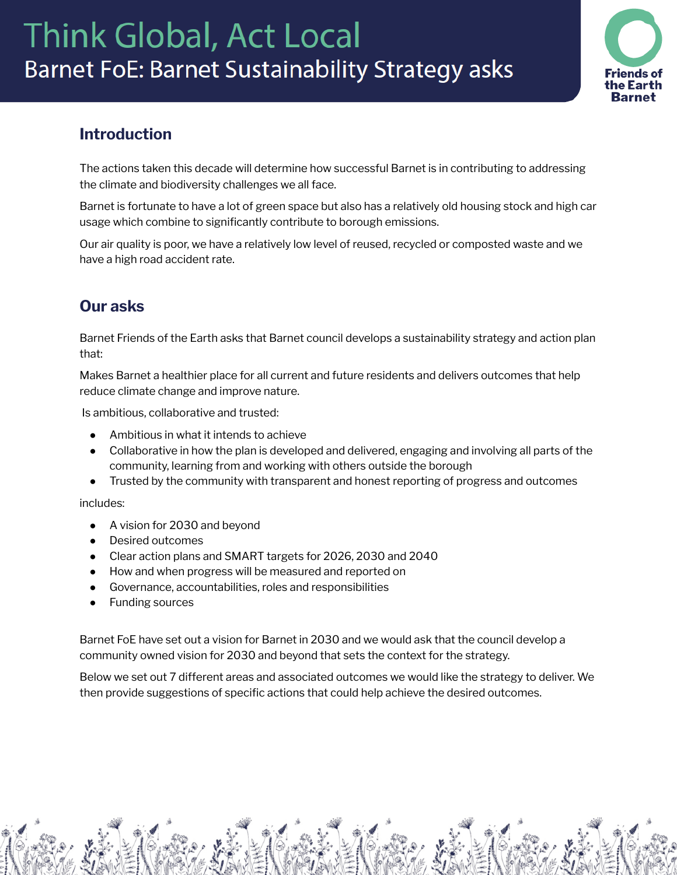# **Think Global, Act Local Barnet FoE: Barnet Sustainability Strategy asks**



## **Introduction**

The actions taken this decade will determine how successful Barnet is in contributing to addressing the climate and biodiversity challenges we all face.

Barnet is fortunate to have a lot of green space but also has a relatively old housing stock and high car usage which combine to significantly contribute to borough emissions.

Our air quality is poor, we have a relatively low level of reused, recycled or composted waste and we have a high road accident rate.

# **Our asks**

Barnet Friends of the Earth asks that Barnet council develops a sustainability strategy and action plan that:

Makes Barnet a healthier place for all current and future residents and delivers outcomes that help reduce climate change and improve nature.

Is ambitious, collaborative and trusted:

- Ambitious in what it intends to achieve
- Collaborative in how the plan is developed and delivered, engaging and involving all parts of the community, learning from and working with others outside the borough
- Trusted by the community with transparent and honest reporting of progress and outcomes

includes:

- A vision for 2030 and beyond
- Desired outcomes
- Clear action plans and SMART targets for 2026, 2030 and 2040
- How and when progress will be measured and reported on
- Governance, accountabilities, roles and responsibilities
- Funding sources

Barnet FoE have set out a vision for Barnet in 2030 and we would ask that the council develop a community owned vision for 2030 and beyond that sets the context for the strategy.

Below we set out 7 different areas and associated outcomes we would like the strategy to deliver. We then provide suggestions of specific actions that could help achieve the desired outcomes.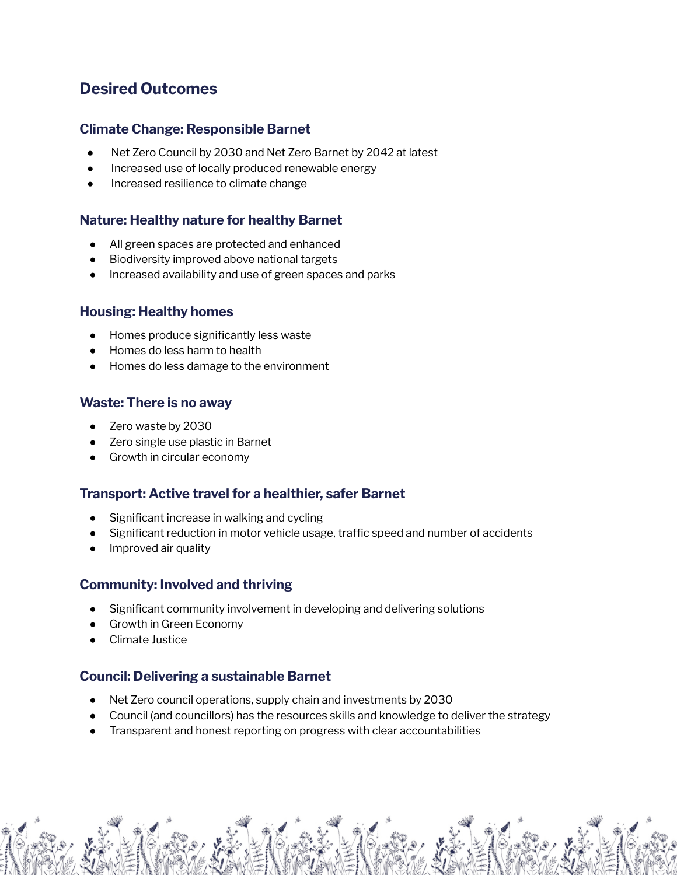# **Desired Outcomes**

## **Climate Change: Responsible Barnet**

- Net Zero Council by 2030 and Net Zero Barnet by 2042 at latest
- Increased use of locally produced renewable energy
- Increased resilience to climate change

## **Nature: Healthy nature for healthy Barnet**

- All green spaces are protected and enhanced
- Biodiversity improved above national targets
- Increased availability and use of green spaces and parks

## **Housing: Healthy homes**

- Homes produce significantly less waste
- Homes do less harm to health
- Homes do less damage to the environment

## **Waste: There is no away**

- Zero waste by 2030
- Zero single use plastic in Barnet
- Growth in circular economy

## **Transport: Active travel for a healthier, safer Barnet**

- Significant increase in walking and cycling
- Significant reduction in motor vehicle usage, traffic speed and number of accidents
- Improved air quality

## **Community: Involved and thriving**

- Significant community involvement in developing and delivering solutions
- **Growth in Green Economy**
- Climate Justice

## **Council: Delivering a sustainable Barnet**

- Net Zero council operations, supply chain and investments by 2030
- Council (and councillors) has the resources skills and knowledge to deliver the strategy
- Transparent and honest reporting on progress with clear accountabilities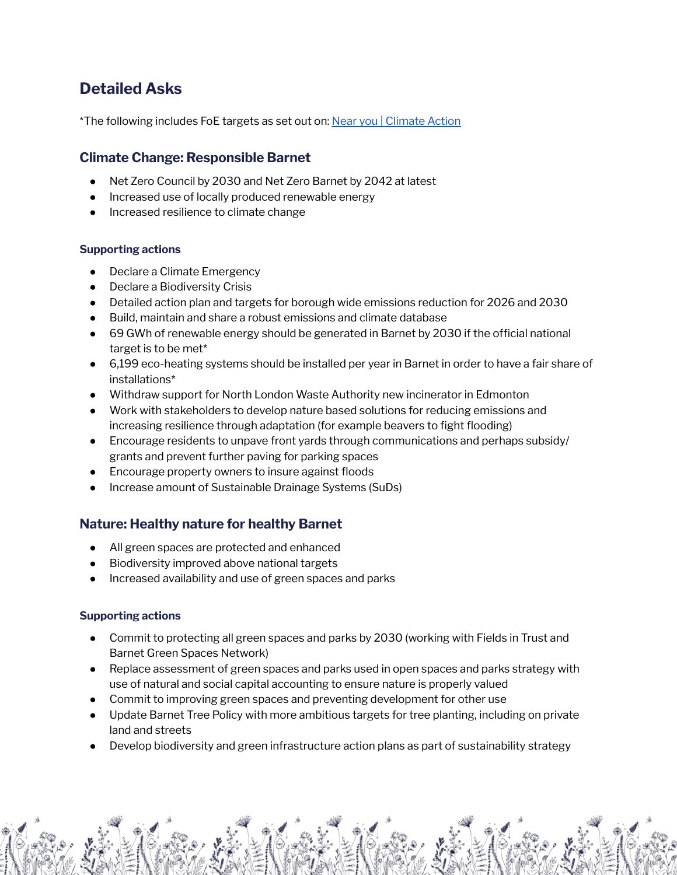# **Detailed Asks**

\*The following includes FoE targets as set out on: Near you | [Climate](https://takeclimateaction.uk/near-you) Action

## **Climate Change: Responsible Barnet**

- Net Zero Council by 2030 and Net Zero Barnet by 2042 at latest
- Increased use of locally produced renewable energy
- Increased resilience to climate change

#### **Supporting actions**

- Declare a Climate Emergency
- **Declare a Biodiversity Crisis**
- Detailed action plan and targets for borough wide emissions reduction for 2026 and 2030
- Build, maintain and share a robust emissions and climate database
- 69 GWh of renewable energy should be generated in Barnet by 2030 if the official national target is to be met\*
- 6,199 eco-heating systems should be installed per year in Barnet in order to have a fair share of installations\*
- Withdraw support for North London Waste Authority new incinerator in Edmonton
- Work with stakeholders to develop nature based solutions for reducing emissions and increasing resilience through adaptation (for example beavers to fight flooding)
- Encourage residents to unpave front yards through communications and perhaps subsidy/ grants and prevent further paving for parking spaces
- Encourage property owners to insure against floods
- Increase amount of Sustainable Drainage Systems (SuDs)

## **Nature: Healthy nature for healthy Barnet**

- All green spaces are protected and enhanced
- Biodiversity improved above national targets
- Increased availability and use of green spaces and parks

- Commit to protecting all green spaces and parks by 2030 (working with Fields in Trust and Barnet Green Spaces Network)
- Replace assessment of green spaces and parks used in open spaces and parks strategy with use of natural and social capital accounting to ensure nature is properly valued
- Commit to improving green spaces and preventing development for other use
- Update Barnet Tree Policy with more ambitious targets for tree planting, including on private land and streets
- Develop biodiversity and green infrastructure action plans as part of sustainability strategy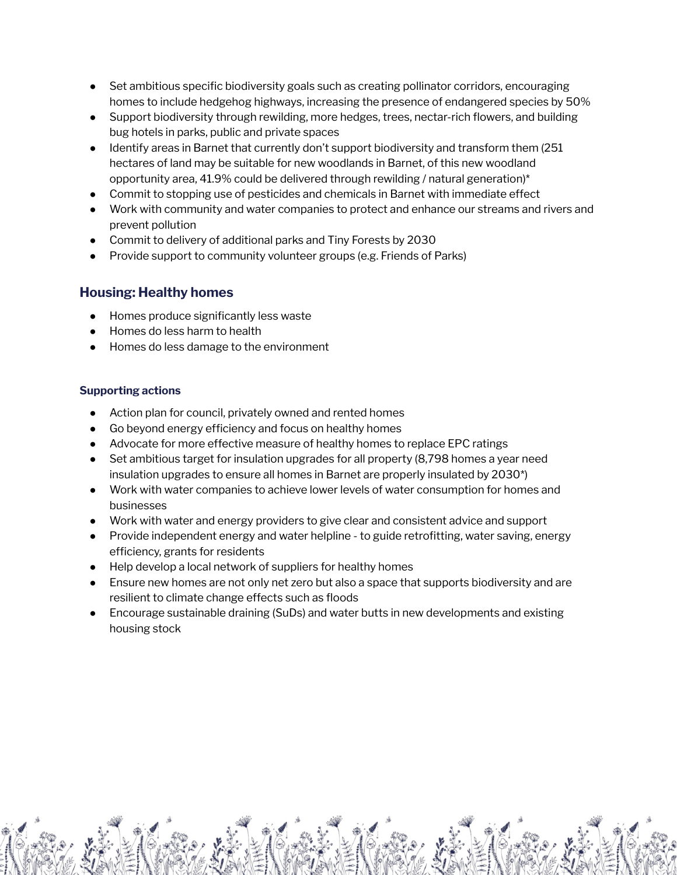- Set ambitious specific biodiversity goals such as creating pollinator corridors, encouraging homes to include hedgehog highways, increasing the presence of endangered species by 50%
- Support biodiversity through rewilding, more hedges, trees, nectar-rich flowers, and building bug hotels in parks, public and private spaces
- Identify areas in Barnet that currently don't support biodiversity and transform them (251) hectares of land may be suitable for new woodlands in Barnet, of this new woodland opportunity area, 41.9% could be delivered through rewilding / natural generation)\*
- Commit to stopping use of pesticides and chemicals in Barnet with immediate effect
- Work with community and water companies to protect and enhance our streams and rivers and prevent pollution
- Commit to delivery of additional parks and Tiny Forests by 2030
- Provide support to community volunteer groups (e.g. Friends of Parks)

## **Housing: Healthy homes**

- Homes produce significantly less waste
- Homes do less harm to health
- Homes do less damage to the environment

- Action plan for council, privately owned and rented homes
- Go beyond energy efficiency and focus on healthy homes
- Advocate for more effective measure of healthy homes to replace EPC ratings
- Set ambitious target for insulation upgrades for all property (8,798 homes a year need insulation upgrades to ensure all homes in Barnet are properly insulated by 2030\*)
- Work with water companies to achieve lower levels of water consumption for homes and businesses
- Work with water and energy providers to give clear and consistent advice and support
- Provide independent energy and water helpline to guide retrofitting, water saving, energy efficiency, grants for residents
- Help develop a local network of suppliers for healthy homes
- Ensure new homes are not only net zero but also a space that supports biodiversity and are resilient to climate change effects such as floods
- Encourage sustainable draining (SuDs) and water butts in new developments and existing housing stock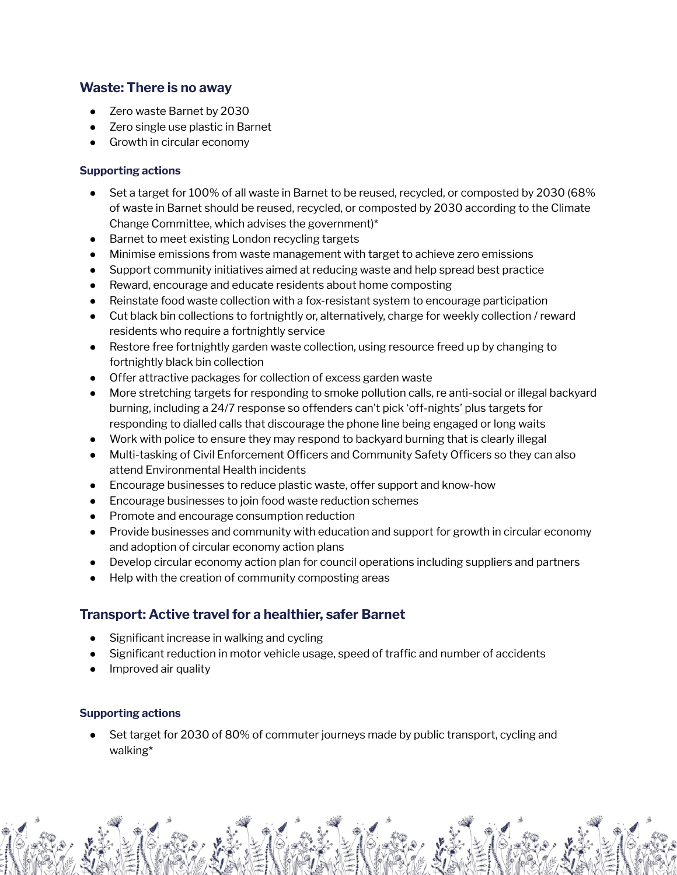## **Waste: There is no away**

- Zero waste Barnet by 2030
- Zero single use plastic in Barnet
- Growth in circular economy

#### **Supporting actions**

- Set a target for 100% of all waste in Barnet to be reused, recycled, or composted by 2030 (68% of waste in Barnet should be reused, recycled, or composted by 2030 according to the Climate Change Committee, which advises the government)\*
- Barnet to meet existing London recycling targets
- Minimise emissions from waste management with target to achieve zero emissions
- Support community initiatives aimed at reducing waste and help spread best practice
- Reward, encourage and educate residents about home composting
- Reinstate food waste collection with a fox-resistant system to encourage participation
- Cut black bin collections to fortnightly or, alternatively, charge for weekly collection / reward residents who require a fortnightly service
- Restore free fortnightly garden waste collection, using resource freed up by changing to fortnightly black bin collection
- Offer attractive packages for collection of excess garden waste
- More stretching targets for responding to smoke pollution calls, re anti-social or illegal backyard burning, including a 24/7 response so offenders can't pick 'off-nights' plus targets for responding to dialled calls that discourage the phone line being engaged or long waits
- Work with police to ensure they may respond to backyard burning that is clearly illegal
- Multi-tasking of Civil Enforcement Officers and Community Safety Officers so they can also attend Environmental Health incidents
- Encourage businesses to reduce plastic waste, offer support and know-how
- Encourage businesses to join food waste reduction schemes
- Promote and encourage consumption reduction
- Provide businesses and community with education and support for growth in circular economy and adoption of circular economy action plans
- Develop circular economy action plan for council operations including suppliers and partners
- Help with the creation of community composting areas

## **Transport: Active travel for a healthier, safer Barnet**

- Significant increase in walking and cycling
- Significant reduction in motor vehicle usage, speed of traffic and number of accidents
- Improved air quality

#### **Supporting actions**

Set target for 2030 of 80% of commuter journeys made by public transport, cycling and walking\*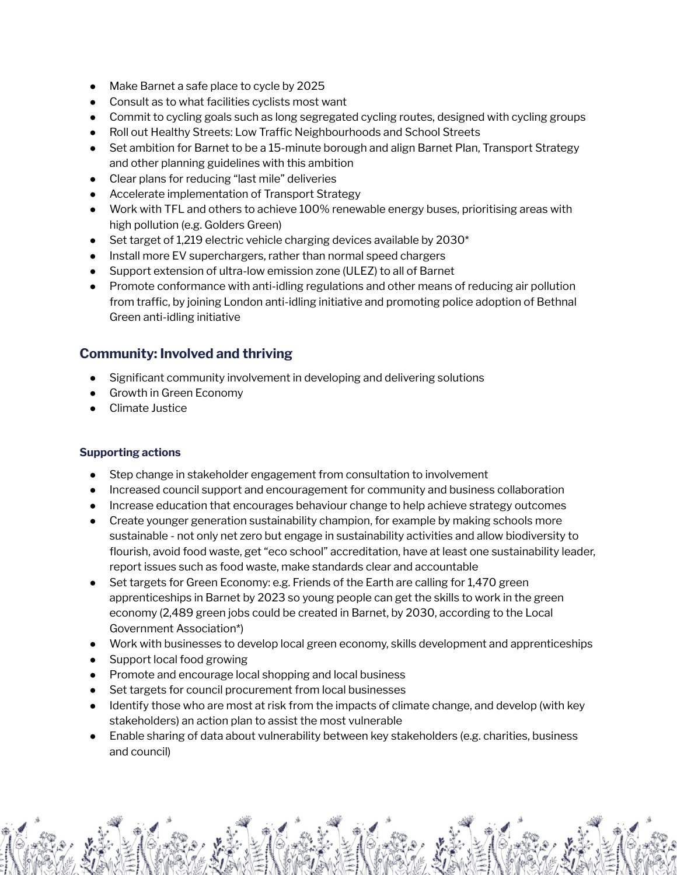- Make Barnet a safe place to cycle by 2025
- Consult as to what facilities cyclists most want
- Commit to cycling goals such as long segregated cycling routes, designed with cycling groups
- Roll out Healthy Streets: Low Traffic Neighbourhoods and School Streets
- Set ambition for Barnet to be a 15-minute borough and align Barnet Plan, Transport Strategy and other planning guidelines with this ambition
- Clear plans for reducing "last mile" deliveries
- Accelerate implementation of Transport Strategy
- Work with TFL and others to achieve 100% renewable energy buses, prioritising areas with high pollution (e.g. Golders Green)
- Set target of 1,219 electric vehicle charging devices available by  $2030*$
- Install more EV superchargers, rather than normal speed chargers
- Support extension of ultra-low emission zone (ULEZ) to all of Barnet
- Promote conformance with anti-idling regulations and other means of reducing air pollution from traffic, by joining London anti-idling initiative and promoting police adoption of Bethnal Green anti-idling initiative

## **Community: Involved and thriving**

- Significant community involvement in developing and delivering solutions
- Growth in Green Economy
- Climate Justice

- Step change in stakeholder engagement from consultation to involvement
- Increased council support and encouragement for community and business collaboration
- Increase education that encourages behaviour change to help achieve strategy outcomes
- Create younger generation sustainability champion, for example by making schools more sustainable - not only net zero but engage in sustainability activities and allow biodiversity to flourish, avoid food waste, get "eco school" accreditation, have at least one sustainability leader, report issues such as food waste, make standards clear and accountable
- Set targets for Green Economy: e.g. Friends of the Earth are calling for 1,470 green apprenticeships in Barnet by 2023 so young people can get the skills to work in the green economy (2,489 green jobs could be created in Barnet, by 2030, according to the Local Government Association\*)
- Work with businesses to develop local green economy, skills development and apprenticeships
- Support local food growing
- Promote and encourage local shopping and local business
- Set targets for council procurement from local businesses
- Identify those who are most at risk from the impacts of climate change, and develop (with key stakeholders) an action plan to assist the most vulnerable
- Enable sharing of data about vulnerability between key stakeholders (e.g. charities, business and council)